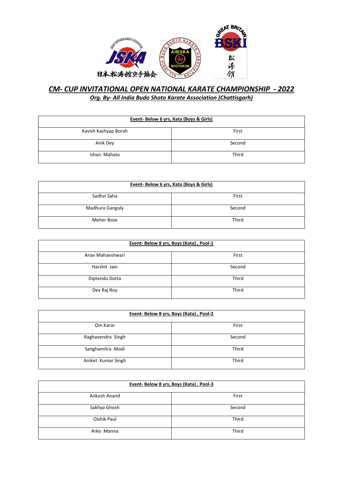

### *CM- CUP INVITATIONAL OPEN NATIONAL KARATE CHAMPIONSHIP - 2022 Org. By- All India Budo Shoto Karate Association (Chattisgarh)*

| Event- Below 6 yrs, Kata (Boys & Girls) |        |
|-----------------------------------------|--------|
| Kavish Kashyap Borah                    | First  |
| Anik Dey                                | Second |
| Ishan Mahato                            | Third  |

| Event-Below 6 yrs, Kata (Boys & Girls) |        |
|----------------------------------------|--------|
| Sadhvi Saha                            | First  |
| Madhura Ganguly                        | Second |
| Meher Bose                             | Third  |

| Event-Below 8 yrs, Boys (Kata), Pool-1 |        |
|----------------------------------------|--------|
| Anav Mahaeshwari                       | First  |
| Harshit Jain                           | Second |
| Diptendu Dutta                         | Third  |
| Dev Raj Roy                            | Third  |

| Event-Below 8 yrs, Boys (Kata), Pool-2 |        |
|----------------------------------------|--------|
| Om Karar                               | First  |
| Raghavendra Singh                      | Second |
| Sanghamitra Modi                       | Third  |
| Aniket Kumar Singh                     | Third  |

| Event-Below 8 yrs, Boys (Kata), Pool-3 |        |
|----------------------------------------|--------|
| Ankush Anand                           | First  |
| Sakhya Ghosh                           | Second |
| Oishik Paul                            | Third  |
| Arko Manna                             | Third  |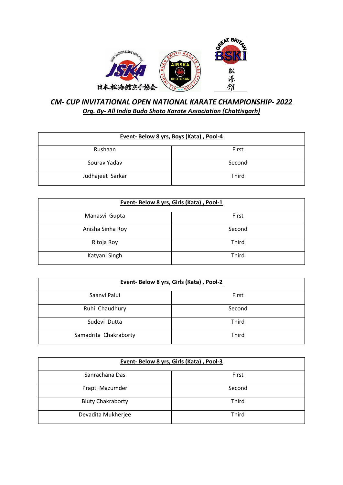

### *CM- CUP INVITATIONAL OPEN NATIONAL KARATE CHAMPIONSHIP- 2022 Org. By- All India Budo Shoto Karate Association (Chattisgarh)*

| Event-Below 8 yrs, Boys (Kata), Pool-4 |        |
|----------------------------------------|--------|
| Rushaan                                | First  |
| Sourav Yadav                           | Second |
| Judhajeet Sarkar                       | Third  |

| Event- Below 8 yrs, Girls (Kata), Pool-1 |        |
|------------------------------------------|--------|
| Manasvi Gupta                            | First  |
| Anisha Sinha Roy                         | Second |
| Ritoja Roy                               | Third  |
| Katyani Singh                            | Third  |

| Event-Below 8 yrs, Girls (Kata), Pool-2 |        |
|-----------------------------------------|--------|
| Saanvi Palui                            | First  |
| Ruhi Chaudhury                          | Second |
| Sudevi Dutta                            | Third  |
| Samadrita Chakraborty                   | Third  |

| Event- Below 8 yrs, Girls (Kata), Pool-3 |        |
|------------------------------------------|--------|
| Sanrachana Das                           | First  |
| Prapti Mazumder                          | Second |
| <b>Biuty Chakraborty</b>                 | Third  |
| Devadita Mukherjee                       | Third  |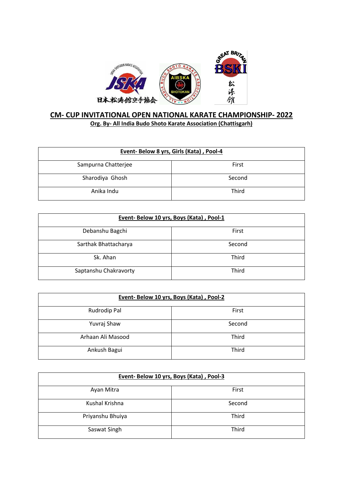

### **CM- CUP INVITATIONAL OPEN NATIONAL KARATE CHAMPIONSHIP- 2022 Org. By- All India Budo Shoto Karate Association (Chattisgarh)**

| Event- Below 8 yrs, Girls (Kata), Pool-4 |        |
|------------------------------------------|--------|
| Sampurna Chatterjee                      | First  |
| Sharodiya Ghosh                          | Second |
| Anika Indu                               | Third  |

| Event-Below 10 yrs, Boys (Kata), Pool-1 |        |
|-----------------------------------------|--------|
| Debanshu Bagchi                         | First  |
| Sarthak Bhattacharya                    | Second |
| Sk. Ahan                                | Third  |
| Saptanshu Chakravorty                   | Third  |

| Event- Below 10 yrs, Boys (Kata), Pool-2 |        |
|------------------------------------------|--------|
| Rudrodip Pal                             | First  |
| Yuvraj Shaw                              | Second |
| Arhaan Ali Masood                        | Third  |
| Ankush Bagui                             | Third  |

| Event-Below 10 yrs, Boys (Kata), Pool-3 |        |
|-----------------------------------------|--------|
| Ayan Mitra                              | First  |
| Kushal Krishna                          | Second |
| Priyanshu Bhuiya                        | Third  |
| Saswat Singh                            | Third  |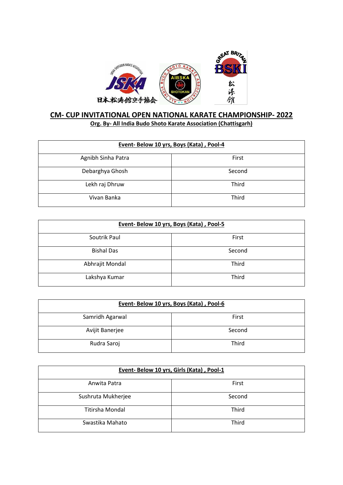

### **CM- CUP INVITATIONAL OPEN NATIONAL KARATE CHAMPIONSHIP- 2022 Org. By- All India Budo Shoto Karate Association (Chattisgarh)**

| Event-Below 10 yrs, Boys (Kata), Pool-4 |        |
|-----------------------------------------|--------|
| Agnibh Sinha Patra                      | First  |
| Debarghya Ghosh                         | Second |
| Lekh raj Dhruw                          | Third  |
| Vivan Banka                             | Third  |

| Event-Below 10 yrs, Boys (Kata), Pool-5 |        |
|-----------------------------------------|--------|
| Soutrik Paul                            | First  |
| <b>Bishal Das</b>                       | Second |
| Abhrajit Mondal                         | Third  |
| Lakshya Kumar                           | Third  |

| Event-Below 10 yrs, Boys (Kata), Pool-6 |        |
|-----------------------------------------|--------|
| Samridh Agarwal                         | First  |
| Avijit Banerjee                         | Second |
| Rudra Saroj                             | Third  |

| Event- Below 10 yrs, Girls (Kata), Pool-1 |        |
|-------------------------------------------|--------|
| Anwita Patra                              | First  |
| Sushruta Mukherjee                        | Second |
| <b>Titirsha Mondal</b>                    | Third  |
| Swastika Mahato                           | Third  |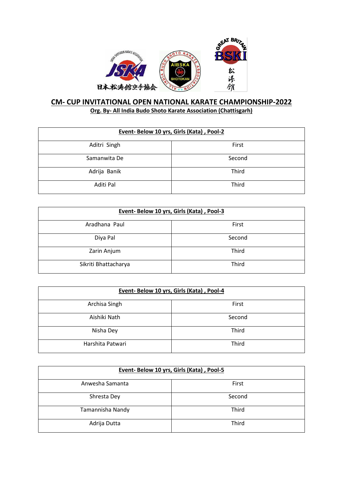

### **CM- CUP INVITATIONAL OPEN NATIONAL KARATE CHAMPIONSHIP-2022 Org. By- All India Budo Shoto Karate Association (Chattisgarh)**

| Event- Below 10 yrs, Girls (Kata), Pool-2 |        |
|-------------------------------------------|--------|
| Aditri Singh                              | First  |
| Samanwita De                              | Second |
| Adrija Banik                              | Third  |
| Aditi Pal                                 | Third  |

| Event- Below 10 yrs, Girls (Kata), Pool-3 |        |
|-------------------------------------------|--------|
| Aradhana Paul                             | First  |
| Diya Pal                                  | Second |
| Zarin Anjum                               | Third  |
| Sikriti Bhattacharya                      | Third  |

| Event- Below 10 yrs, Girls (Kata), Pool-4 |        |
|-------------------------------------------|--------|
| Archisa Singh                             | First  |
| Aishiki Nath                              | Second |
| Nisha Dey                                 | Third  |
| Harshita Patwari                          | Third  |

| Event- Below 10 yrs, Girls (Kata), Pool-5 |        |
|-------------------------------------------|--------|
| Anwesha Samanta                           | First  |
| Shresta Dey                               | Second |
| Tamannisha Nandy                          | Third  |
| Adrija Dutta                              | Third  |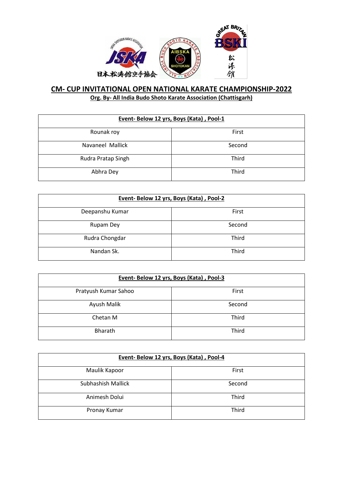

| Event-Below 12 yrs, Boys (Kata), Pool-1 |        |
|-----------------------------------------|--------|
| Rounak roy                              | First  |
| Navaneel Mallick                        | Second |
| Rudra Pratap Singh                      | Third  |
| Abhra Dey                               | Third  |

| Event-Below 12 yrs, Boys (Kata), Pool-2 |        |
|-----------------------------------------|--------|
| Deepanshu Kumar                         | First  |
| Rupam Dey                               | Second |
| Rudra Chongdar                          | Third  |
| Nandan Sk.                              | Third  |

| Event-Below 12 yrs, Boys (Kata), Pool-3 |        |
|-----------------------------------------|--------|
| Pratyush Kumar Sahoo                    | First  |
| Ayush Malik                             | Second |
| Chetan M                                | Third  |
| <b>Bharath</b>                          | Third  |

| Event-Below 12 yrs, Boys (Kata), Pool-4 |        |
|-----------------------------------------|--------|
| Maulik Kapoor                           | First  |
| Subhashish Mallick                      | Second |
| Animesh Dolui                           | Third  |
| Pronay Kumar                            | Third  |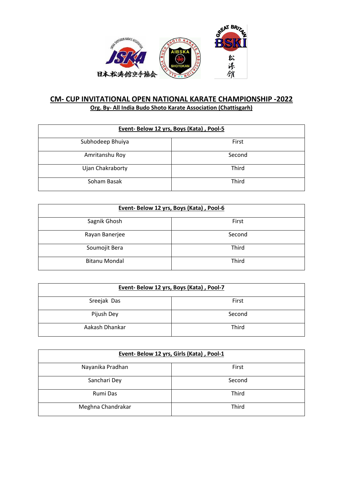

### **CM- CUP INVITATIONAL OPEN NATIONAL KARATE CHAMPIONSHIP -2022 Org. By- All India Budo Shoto Karate Association (Chattisgarh)**

| Event-Below 12 yrs, Boys (Kata), Pool-5 |        |
|-----------------------------------------|--------|
| Subhodeep Bhuiya                        | First  |
| Amritanshu Roy                          | Second |
| Ujan Chakraborty                        | Third  |
| Soham Basak                             | Third  |

| Event-Below 12 yrs, Boys (Kata), Pool-6 |        |
|-----------------------------------------|--------|
| Sagnik Ghosh                            | First  |
| Rayan Banerjee                          | Second |
| Soumojit Bera                           | Third  |
| <b>Bitanu Mondal</b>                    | Third  |

| Event-Below 12 yrs, Boys (Kata), Pool-7 |        |
|-----------------------------------------|--------|
| Sreejak Das                             | First  |
| Pijush Dey                              | Second |
| Aakash Dhankar                          | Third  |

| Event- Below 12 yrs, Girls (Kata), Pool-1 |        |
|-------------------------------------------|--------|
| Nayanika Pradhan                          | First  |
| Sanchari Dey                              | Second |
| Rumi Das                                  | Third  |
| Meghna Chandrakar                         | Third  |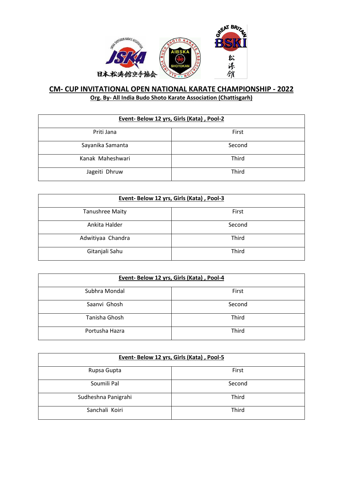

| Event- Below 12 yrs, Girls (Kata), Pool-2 |        |
|-------------------------------------------|--------|
| Priti Jana                                | First  |
| Sayanika Samanta                          | Second |
| Kanak Maheshwari                          | Third  |
| Jageiti Dhruw                             | Third  |

| Event- Below 12 yrs, Girls (Kata), Pool-3 |        |
|-------------------------------------------|--------|
| <b>Tanushree Maity</b>                    | First  |
| Ankita Halder                             | Second |
| Adwitiyaa Chandra                         | Third  |
| Gitanjali Sahu                            | Third  |

| Event- Below 12 yrs, Girls (Kata), Pool-4 |        |
|-------------------------------------------|--------|
| Subhra Mondal                             | First  |
| Saanvi Ghosh                              | Second |
| Tanisha Ghosh                             | Third  |
| Portusha Hazra                            | Third  |

| Event- Below 12 yrs, Girls (Kata), Pool-5 |        |
|-------------------------------------------|--------|
| Rupsa Gupta                               | First  |
| Soumili Pal                               | Second |
| Sudheshna Panigrahi                       | Third  |
| Sanchali Koiri                            | Third  |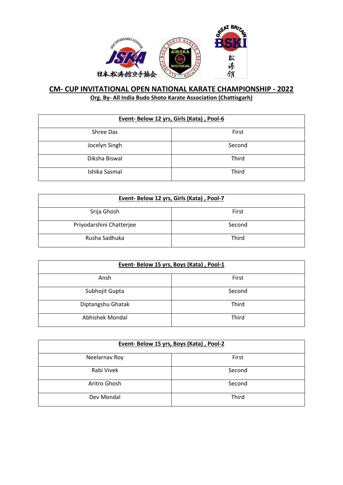

| Event-Below 12 yrs, Girls (Kata), Pool-6 |        |
|------------------------------------------|--------|
| Shree Das                                | First  |
| Jocelyn Singh                            | Second |
| Diksha Biswal                            | Third  |
| Ishika Sasmal                            | Third  |

| Event- Below 12 yrs, Girls (Kata), Pool-7 |        |
|-------------------------------------------|--------|
| Srija Ghosh                               | First  |
| Priyodarshini Chatterjee                  | Second |
| Rusha Sadhuka                             | Third  |

| Event-Below 15 yrs, Boys (Kata), Pool-1 |        |
|-----------------------------------------|--------|
| Ansh                                    | First  |
| Subhojit Gupta                          | Second |
| Diptangshu Ghatak                       | Third  |
| Abhishek Mondal                         | Third  |

| Event-Below 15 yrs, Boys (Kata), Pool-2 |        |
|-----------------------------------------|--------|
| Neelarnav Roy                           | First  |
| Rabi Vivek                              | Second |
| Aritro Ghosh                            | Second |
| Dev Mondal                              | Third  |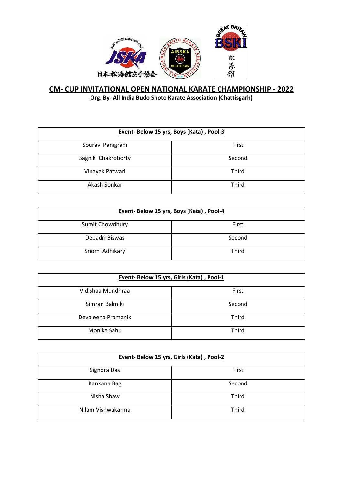

### **CM- CUP INVITATIONAL OPEN NATIONAL KARATE CHAMPIONSHIP - 2022 Org. By- All India Budo Shoto Karate Association (Chattisgarh)**

| Event- Below 15 yrs, Boys (Kata), Pool-3 |        |
|------------------------------------------|--------|
| Sourav Panigrahi                         | First  |
| Sagnik Chakroborty                       | Second |
| Vinayak Patwari                          | Third  |
| Akash Sonkar                             | Third  |

| Event- Below 15 yrs, Boys (Kata), Pool-4 |        |
|------------------------------------------|--------|
| Sumit Chowdhury                          | First  |
| Debadri Biswas                           | Second |
| Sriom Adhikary                           | Third  |

| Event- Below 15 yrs, Girls (Kata), Pool-1 |        |
|-------------------------------------------|--------|
| Vidishaa Mundhraa                         | First  |
| Simran Balmiki                            | Second |
| Devaleena Pramanik                        | Third  |
| Monika Sahu                               | Third  |

| Event-Below 15 yrs, Girls (Kata), Pool-2 |        |
|------------------------------------------|--------|
| Signora Das                              | First  |
| Kankana Bag                              | Second |
| Nisha Shaw                               | Third  |
| Nilam Vishwakarma                        | Third  |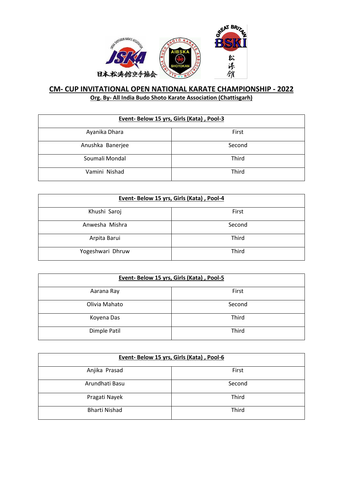

| Event- Below 15 yrs, Girls (Kata), Pool-3 |        |
|-------------------------------------------|--------|
| Ayanika Dhara                             | First  |
| Anushka Banerjee                          | Second |
| Soumali Mondal                            | Third  |
| Vamini Nishad                             | Third  |

| Event- Below 15 yrs, Girls (Kata), Pool-4 |        |
|-------------------------------------------|--------|
| Khushi Saroj                              | First  |
| Anwesha Mishra                            | Second |
| Arpita Barui                              | Third  |
| Yogeshwari Dhruw                          | Third  |

| Event- Below 15 yrs, Girls (Kata), Pool-5 |        |
|-------------------------------------------|--------|
| Aarana Ray                                | First  |
| Olivia Mahato                             | Second |
| Koyena Das                                | Third  |
| Dimple Patil                              | Third  |

| Event- Below 15 yrs, Girls (Kata), Pool-6 |        |
|-------------------------------------------|--------|
| Anjika Prasad                             | First  |
| Arundhati Basu                            | Second |
| Pragati Nayek                             | Third  |
| <b>Bharti Nishad</b>                      | Third  |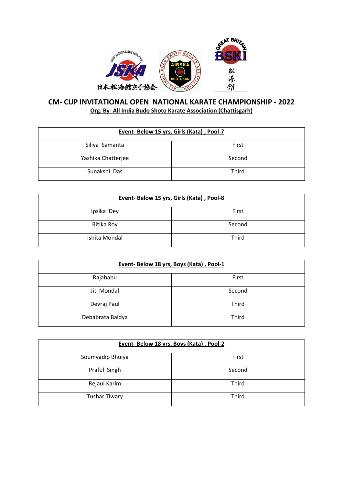

### **CM- CUP INVITATIONAL OPEN NATIONAL KARATE CHAMPIONSHIP - 2022 Org. By- All India Budo Shoto Karate Association (Chattisgarh)**

| Event- Below 15 yrs, Girls (Kata), Pool-7 |        |
|-------------------------------------------|--------|
| Siliya Samanta                            | First  |
| Yashika Chatterjee                        | Second |
| Sunakshi Das                              | Third  |

| Event- Below 15 yrs, Girls (Kata), Pool-8 |        |
|-------------------------------------------|--------|
| Ipsika Dey                                | First  |
| Ritika Roy                                | Second |
| Ishita Mondal                             | Third  |

| Event-Below 18 yrs, Boys (Kata), Pool-1 |        |
|-----------------------------------------|--------|
| Rajababu                                | First  |
| Jit Mondal                              | Second |
| Devraj Paul                             | Third  |
| Debabrata Baidya                        | Third  |

| Event-Below 18 yrs, Boys (Kata), Pool-2 |        |
|-----------------------------------------|--------|
| Soumyadip Bhuiya                        | First  |
| Praful Singh                            | Second |
| Rejaul Karim                            | Third  |
| <b>Tushar Tiwary</b>                    | Third  |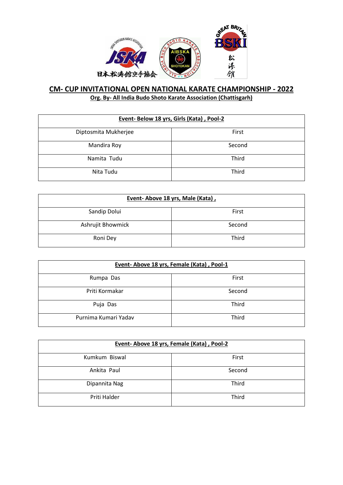

| Event- Below 18 yrs, Girls (Kata), Pool-2 |        |
|-------------------------------------------|--------|
| Diptosmita Mukherjee                      | First  |
| Mandira Roy                               | Second |
| Namita Tudu                               | Third  |
| Nita Tudu                                 | Third  |

| Event-Above 18 yrs, Male (Kata), |        |
|----------------------------------|--------|
| Sandip Dolui                     | First  |
| Ashrujit Bhowmick                | Second |
| Roni Dey                         | Third  |

| Event-Above 18 yrs, Female (Kata), Pool-1 |        |
|-------------------------------------------|--------|
| Rumpa Das                                 | First  |
| Priti Kormakar                            | Second |
| Puja Das                                  | Third  |
| Purnima Kumari Yadav                      | Third  |

| Event-Above 18 yrs, Female (Kata), Pool-2 |        |
|-------------------------------------------|--------|
| Kumkum Biswal                             | First  |
| Ankita Paul                               | Second |
| Dipannita Nag                             | Third  |
| Priti Halder                              | Third  |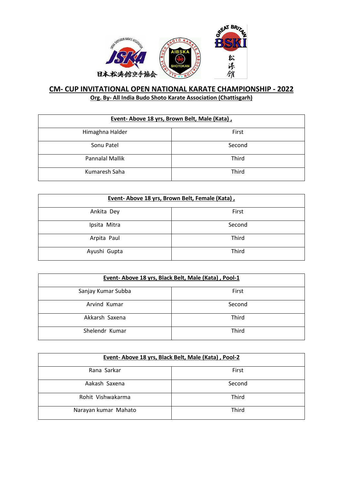

| Event-Above 18 yrs, Brown Belt, Male (Kata), |        |
|----------------------------------------------|--------|
| Himaghna Halder                              | First  |
| Sonu Patel                                   | Second |
| <b>Pannalal Mallik</b>                       | Third  |
| Kumaresh Saha                                | Third  |

| Event-Above 18 yrs, Brown Belt, Female (Kata), |        |
|------------------------------------------------|--------|
| Ankita Dey                                     | First  |
| Ipsita Mitra                                   | Second |
| Arpita Paul                                    | Third  |
| Ayushi Gupta                                   | Third  |

| Event- Above 18 yrs, Black Belt, Male (Kata), Pool-1 |        |
|------------------------------------------------------|--------|
| Sanjay Kumar Subba                                   | First  |
| Arvind Kumar                                         | Second |
| Akkarsh Saxena                                       | Third  |
| Shelendr Kumar                                       | Third  |

| Event- Above 18 yrs, Black Belt, Male (Kata), Pool-2 |        |
|------------------------------------------------------|--------|
| Rana Sarkar                                          | First  |
| Aakash Saxena                                        | Second |
| Rohit Vishwakarma                                    | Third  |
| Narayan kumar Mahato                                 | Third  |